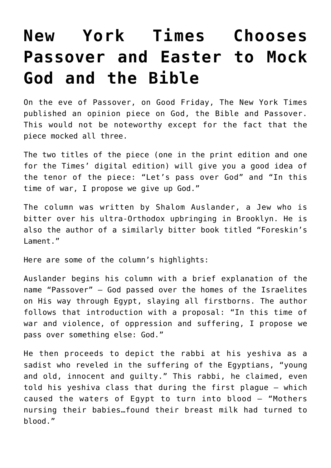## **[New York Times Chooses](https://bernardgoldberg.com/new-york-times-chooses-passover-and-easter-to-mock-god-and-the-bible/) [Passover and Easter to Mock](https://bernardgoldberg.com/new-york-times-chooses-passover-and-easter-to-mock-god-and-the-bible/) [God and the Bible](https://bernardgoldberg.com/new-york-times-chooses-passover-and-easter-to-mock-god-and-the-bible/)**

On the eve of Passover, on Good Friday, The New York Times published an opinion piece on God, the Bible and Passover. This would not be noteworthy except for the fact that the piece mocked all three.

The two titles of the piece (one in the print edition and one for the Times' digital edition) will give you a good idea of the tenor of the piece: "Let's pass over God" and "In this time of war, I propose we give up God."

The column was written by Shalom Auslander, a Jew who is bitter over his ultra-Orthodox upbringing in Brooklyn. He is also the author of a similarly bitter book titled "Foreskin's Lament."

Here are some of the column's highlights:

Auslander begins his column with a brief explanation of the name "Passover" — God passed over the homes of the Israelites on His way through Egypt, slaying all firstborns. The author follows that introduction with a proposal: "In this time of war and violence, of oppression and suffering, I propose we pass over something else: God."

He then proceeds to depict the rabbi at his yeshiva as a sadist who reveled in the suffering of the Egyptians, "young and old, innocent and guilty." This rabbi, he claimed, even told his yeshiva class that during the first plague — which caused the waters of Egypt to turn into blood — "Mothers nursing their babies…found their breast milk had turned to blood."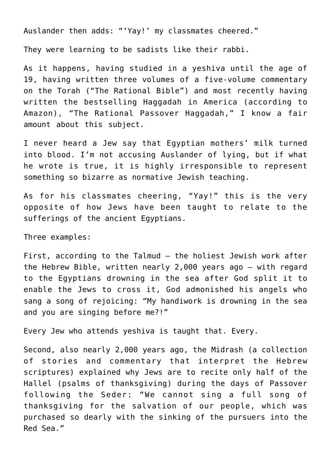Auslander then adds: "'Yay!' my classmates cheered."

They were learning to be sadists like their rabbi.

As it happens, having studied in a yeshiva until the age of 19, having written three volumes of a five-volume commentary on the Torah ("The Rational Bible") and most recently having written the bestselling Haggadah in America (according to Amazon), "The Rational Passover Haggadah," I know a fair amount about this subject.

I never heard a Jew say that Egyptian mothers' milk turned into blood. I'm not accusing Auslander of lying, but if what he wrote is true, it is highly irresponsible to represent something so bizarre as normative Jewish teaching.

As for his classmates cheering, "Yay!" this is the very opposite of how Jews have been taught to relate to the sufferings of the ancient Egyptians.

Three examples:

First, according to the Talmud — the holiest Jewish work after the Hebrew Bible, written nearly 2,000 years ago — with regard to the Egyptians drowning in the sea after God split it to enable the Jews to cross it, God admonished his angels who sang a song of rejoicing: "My handiwork is drowning in the sea and you are singing before me?!"

Every Jew who attends yeshiva is taught that. Every.

Second, also nearly 2,000 years ago, the Midrash (a collection of stories and commentary that interpret the Hebrew scriptures) explained why Jews are to recite only half of the Hallel (psalms of thanksgiving) during the days of Passover following the Seder: "We cannot sing a full song of thanksgiving for the salvation of our people, which was purchased so dearly with the sinking of the pursuers into the Red Sea."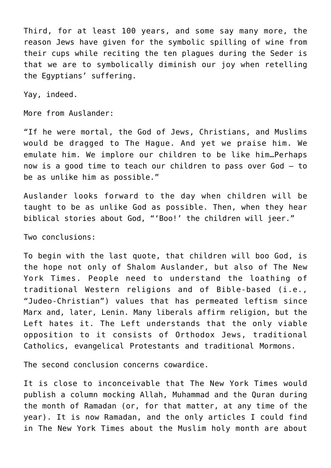Third, for at least 100 years, and some say many more, the reason Jews have given for the symbolic spilling of wine from their cups while reciting the ten plagues during the Seder is that we are to symbolically diminish our joy when retelling the Egyptians' suffering.

Yay, indeed.

More from Auslander:

"If he were mortal, the God of Jews, Christians, and Muslims would be dragged to The Hague. And yet we praise him. We emulate him. We implore our children to be like him…Perhaps now is a good time to teach our children to pass over God — to be as unlike him as possible."

Auslander looks forward to the day when children will be taught to be as unlike God as possible. Then, when they hear biblical stories about God, "'Boo!' the children will jeer."

Two conclusions:

To begin with the last quote, that children will boo God, is the hope not only of Shalom Auslander, but also of The New York Times. People need to understand the loathing of traditional Western religions and of Bible-based (i.e., "Judeo-Christian") values that has permeated leftism since Marx and, later, Lenin. Many liberals affirm religion, but the Left hates it. The Left understands that the only viable opposition to it consists of Orthodox Jews, traditional Catholics, evangelical Protestants and traditional Mormons.

The second conclusion concerns cowardice.

It is close to inconceivable that The New York Times would publish a column mocking Allah, Muhammad and the Quran during the month of Ramadan (or, for that matter, at any time of the year). It is now Ramadan, and the only articles I could find in The New York Times about the Muslim holy month are about